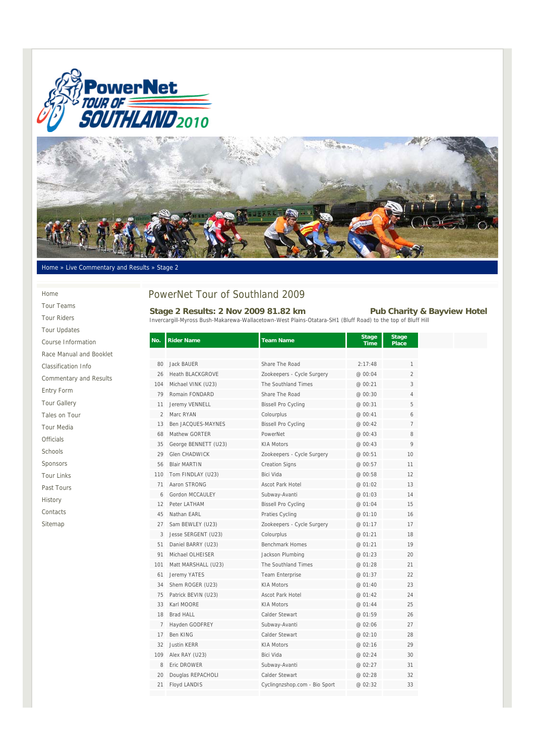



#### Home » Live Commentary and Results » Stage 2

#### Home

Tour Teams Tour Riders Tour Updates Course Information Race Manual and Booklet Classification Info Commentary and Results Entry Form Tour Gallery Tales on Tour Tour Media Officials Schools Sponsors Tour Links Past Tours History Contacts Sitemap

# PowerNet Tour of Southland 2009

### Stage 2 Results: 2 Nov 2009 81.82 km Pub Charity & Bayview Hotel

Invercargill-Myross Bush-Makarewa-Wallacetown-West Plains-Otatara-SH1 (Bluff Road) to the top of Bluff Hill

| No.            | <b>Rider Name</b>       | <b>Team Name</b>              | <b>Stage</b><br><b>Time</b> | <b>Stage</b><br>Place |
|----------------|-------------------------|-------------------------------|-----------------------------|-----------------------|
|                |                         |                               |                             |                       |
| 80             | <b>Jack BAUER</b>       | Share The Road                | 2:17:48                     | 1                     |
| 26             | <b>Heath BLACKGROVE</b> | Zookeepers - Cycle Surgery    | @ 00:04                     | $\overline{2}$        |
| 104            | Michael VINK (U23)      | The Southland Times           | @ 00:21                     | 3                     |
| 79             | Romain FONDARD          | Share The Road                | @ 00:30                     | 4                     |
| 11             | Jeremy VENNELL          | <b>Bissell Pro Cycling</b>    | @ 00:31                     | 5                     |
| $\overline{2}$ | Marc RYAN               | Colourplus                    | @ 00:41                     | 6                     |
| 13             | Ben JACQUES-MAYNES      | <b>Bissell Pro Cycling</b>    | @ 00:42                     | 7                     |
| 68             | Mathew GORTER           | PowerNet                      | @ 00:43                     | 8                     |
| 35             | George BENNETT (U23)    | <b>KIA Motors</b>             | @ 00:43                     | 9                     |
| 29             | <b>Glen CHADWICK</b>    | Zookeepers - Cycle Surgery    | @ 00:51                     | 10                    |
| 56             | <b>Blair MARTIN</b>     | <b>Creation Signs</b>         | @ 00:57                     | 11                    |
| 110            | Tom FINDLAY (U23)       | Bici Vida                     | @ 00:58                     | 12                    |
| 71             | Aaron STRONG            | <b>Ascot Park Hotel</b>       | @ 01:02                     | 13                    |
| 6              | Gordon MCCAULEY         | Subway-Avanti                 | @ 01:03                     | 14                    |
| 12             | Peter LATHAM            | <b>Bissell Pro Cycling</b>    | @ 01:04                     | 15                    |
| 45             | Nathan EARL             | Praties Cycling               | @ 01:10                     | 16                    |
| 27             | Sam BEWLEY (U23)        | Zookeepers - Cycle Surgery    | @ 01:17                     | 17                    |
| 3              | Jesse SERGENT (U23)     | Colourplus                    | @ 01:21                     | 18                    |
| 51             | Daniel BARRY (U23)      | <b>Benchmark Homes</b>        | @ 01:21                     | 19                    |
| 91             | Michael OLHEISER        | Jackson Plumbing              | @ 01:23                     | 20                    |
| 101            | Matt MARSHALL (U23)     | The Southland Times           | @ 01:28                     | 21                    |
| 61             | Jeremy YATES            | <b>Team Enterprise</b>        | @ 01:37                     | 22                    |
| 34             | Shem ROGER (U23)        | <b>KIA Motors</b>             | @ 01:40                     | 23                    |
| 75             | Patrick BEVIN (U23)     | <b>Ascot Park Hotel</b>       | @ 01:42                     | 24                    |
| 33             | Karl MOORE              | <b>KIA Motors</b>             | @ 01:44                     | 25                    |
| 18             | <b>Brad HALL</b>        | Calder Stewart                | @ 01:59                     | 26                    |
| 7              | Hayden GODFREY          | Subway-Avanti                 | @ 02:06                     | 27                    |
| 17             | Ben KING                | Calder Stewart                | @ 02:10                     | 28                    |
| 32             | <b>Justin KERR</b>      | <b>KIA Motors</b>             | @ 02:16                     | 29                    |
| 109            | Alex RAY (U23)          | Bici Vida                     | @ 02:24                     | 30                    |
| 8              | Eric DROWER             | Subway-Avanti                 | @ 02:27                     | 31                    |
| 20             | Douglas REPACHOLI       | Calder Stewart                | @ 02:28                     | 32                    |
| 21             | Floyd LANDIS            | Cyclingnzshop.com - Bio Sport | @ 02:32                     | 33                    |
|                |                         |                               |                             |                       |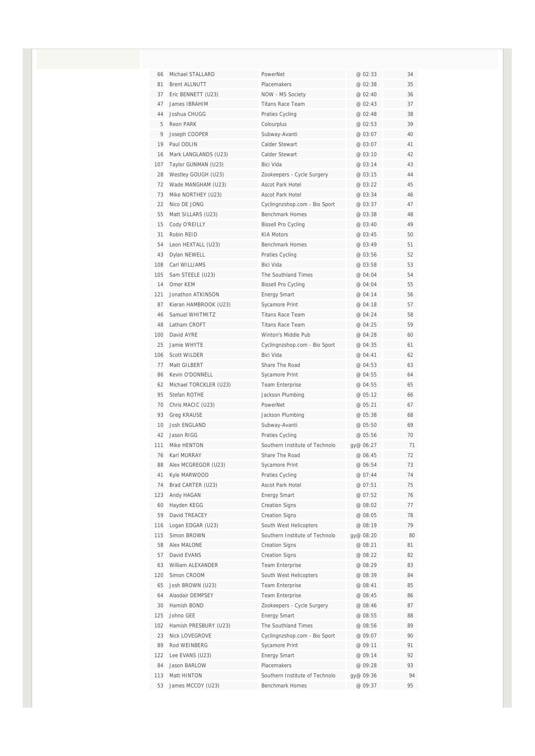| 66       | Michael STALLARD                  | PowerNet                       | @ 02:33            | 34       |
|----------|-----------------------------------|--------------------------------|--------------------|----------|
| 81       | <b>Brent ALLNUTT</b>              | Placemakers                    | @ 02:38            | 35       |
| 37       | Eric BENNETT (U23)                | NOW - MS Society               | @ 02:40            | 36       |
| 47       | James IBRAHIM                     | <b>Titans Race Team</b>        | @ 02:43            | 37       |
| 44       | Joshua CHUGG                      | <b>Praties Cycling</b>         | @ 02:48            | 38       |
| 5        | Reon PARK                         | Colourplus                     | @ 02:53            | 39       |
| 9        | Joseph COOPER                     | Subway-Avanti                  | @ 03:07            | 40       |
| 19       | Paul ODLIN                        | Calder Stewart                 | @ 03:07            | 41       |
| 16       | Mark LANGLANDS (U23)              | Calder Stewart                 | @ 03:10            | 42       |
| 107      | Taylor GUNMAN (U23)               | Bici Vida                      | @ 03:14            | 43       |
| 28       | Westley GOUGH (U23)               | Zookeepers - Cycle Surgery     | @ 03:15            | 44       |
| 72       | Wade MANGHAM (U23)                | Ascot Park Hotel               | @ 03:22            | 45       |
| 73       | Mike NORTHEY (U23)                | <b>Ascot Park Hotel</b>        | @ 03:34            | 46       |
| 22       | Nico DE JONG                      | Cyclingnzshop.com - Bio Sport  | @ 03:37            | 47       |
| 55       | Matt SILLARS (U23)                | <b>Benchmark Homes</b>         | @ 03:38            | 48       |
| 15       | Cody O'REILLY                     | <b>Bissell Pro Cycling</b>     | @ 03:40            | 49       |
| 31       | Robin REID                        | <b>KIA Motors</b>              | @ 03:45            | 50       |
| 54       | Leon HEXTALL (U23)                | Benchmark Homes                | @ 03:49            | 51       |
| 43       | Dylan NEWELL                      | Praties Cycling                | @ 03:56            | 52       |
| 108      | Carl WILLIAMS                     | Bici Vida                      | @ 03:58            | 53       |
| 105      | Sam STEELE (U23)                  | The Southland Times            | @ 04:04            | 54       |
| 14       | Omer KEM                          | <b>Bissell Pro Cycling</b>     | @ 04:04            | 55       |
| 121      | Jonathon ATKINSON                 | <b>Energy Smart</b>            | @ 04:14            | 56       |
| 87       | Kieran HAMBROOK (U23)             | Sycamore Print                 | @ 04:18            | 57       |
| 46       | Samuel WHITMITZ                   | Titans Race Team               | @ 04:24            | 58       |
| 48       | Latham CROFT                      | <b>Titans Race Team</b>        | @ 04:25            | 59       |
| 100      | David AYRE                        | Winton's Middle Pub            | @ 04:28            | 60       |
| 25       | Jamie WHYTE                       | Cyclingnzshop.com - Bio Sport  | @ 04:35            | 61       |
| 106      | Scott WILDER                      | Bici Vida                      | @ 04:41            | 62       |
| 77       | Matt GILBERT                      | Share The Road                 | @ 04:53            | 63       |
| 86       | Kevin O'DONNELL                   | Sycamore Print                 | @ 04:55            | 64       |
| 62       | Michael TORCKLER (U23)            | Team Enterprise                | @ 04:55            | 65       |
| 95<br>70 | Stefan ROTHE<br>Chris MACIC (U23) | Jackson Plumbing<br>PowerNet   | @ 05:12<br>@ 05:21 | 66<br>67 |
| 93       | <b>Greg KRAUSE</b>                | Jackson Plumbing               | @ 05:38            | 68       |
| 10       | Josh ENGLAND                      | Subway-Avanti                  | @ 05:50            | 69       |
| 42       | Jason RIGG                        | Praties Cycling                | @ 05:56            | 70       |
| 111      | Mike HFNTON                       | Southern Institute of Technolo | gy@ 06:27          | 71       |
| 76       | Karl MURRAY                       | Share The Road                 | @ 06:45            | 72       |
| 88       | Alex MCGREGOR (U23)               | Sycamore Print                 | @ 06:54            | 73       |
| 41       | Kyle MARWOOD                      | Praties Cycling                | @ 07:44            | 74       |
| 74       | Brad CARTER (U23)                 | Ascot Park Hotel               | @ 07:51            | 75       |
| 123      | Andy HAGAN                        | <b>Energy Smart</b>            | @ 07:52            | 76       |
| 60       | Hayden KEGG                       | <b>Creation Signs</b>          | @ 08:02            | 77       |
| 59       | David TREACEY                     | <b>Creation Signs</b>          | @ 08:05            | 78       |
| 116      | Logan EDGAR (U23)                 | South West Helicopters         | @ 08:19            | 79       |
| 115      | Simon BROWN                       | Southern Institute of Technolo | gy@ 08:20          | 80       |
| 58       | Alex MALONE                       | <b>Creation Signs</b>          | @ 08:21            | 81       |
| 57       | David EVANS                       | <b>Creation Signs</b>          | @ 08:22            | 82       |
| 63       | William ALEXANDER                 | Team Enterprise                | @ 08:29            | 83       |
| 120      | Simon CROOM                       | South West Helicopters         | @ 08:39            | 84       |
| 65       | Josh BROWN (U23)                  | Team Enterprise                | @ 08:41            | 85       |
| 64       | Alasdair DEMPSEY                  | <b>Team Enterprise</b>         | @ 08:45            | 86       |
| 30       | Hamish BOND                       | Zookeepers - Cycle Surgery     | @ 08:46            | 87       |
| 125      | Johno GEE                         | <b>Energy Smart</b>            | @ 08:55            | 88       |
| 102      | Hamish PRESBURY (U23)             | The Southland Times            | @ 08:56            | 89       |
| 23       | Nick LOVEGROVE                    | Cyclingnzshop.com - Bio Sport  | @ 09:07            | 90       |
| 89       | Rod WEINBERG                      | Sycamore Print                 | @ 09:11            | 91       |
| 122      | Lee EVANS (U23)                   | <b>Energy Smart</b>            | @ 09:14            | 92       |
| 84       | Jason BARLOW                      | Placemakers                    | @ 09:28            | 93       |
| 113      | Matt HINTON                       | Southern Institute of Technolo | gy@ 09:36          | 94       |
| 53       | James MCCOY (U23)                 | <b>Benchmark Homes</b>         | @ 09:37            | 95       |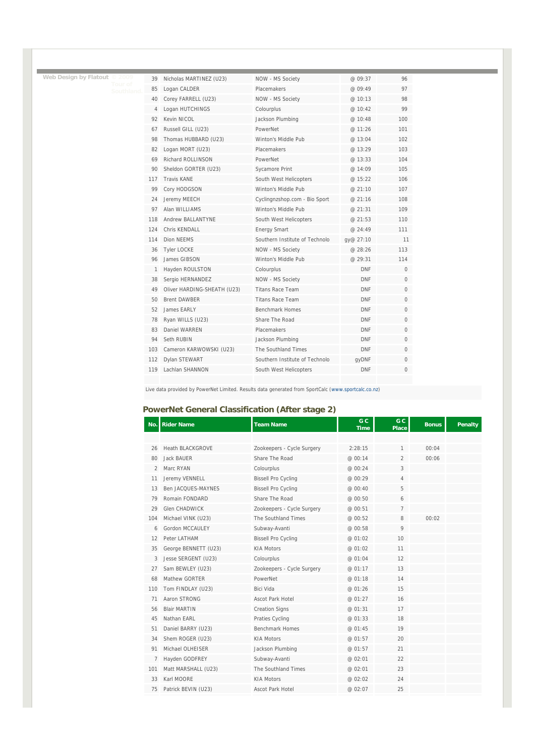| 39             | Nicholas MARTINEZ (U23)     | NOW - MS Society               | @ 09:37    | 96           |
|----------------|-----------------------------|--------------------------------|------------|--------------|
| 85             | Logan CALDER                | Placemakers                    | @09:49     | 97           |
| 40             | Corey FARRELL (U23)         | NOW - MS Society               | @10:13     | 98           |
| $\overline{4}$ | Logan HUTCHINGS             | Colourplus                     | @10:42     | 99           |
| 92             | Kevin NICOL                 | Jackson Plumbing               | @ 10:48    | 100          |
| 67             | Russell GILL (U23)          | PowerNet                       | @ 11:26    | 101          |
| 98             | Thomas HUBBARD (U23)        | Winton's Middle Pub            | @13:04     | 102          |
| 82             | Logan MORT (U23)            | <b>Placemakers</b>             | @13:29     | 103          |
| 69             | Richard ROLLINSON           | PowerNet                       | @13:33     | 104          |
| 90             | Sheldon GORTER (U23)        | Sycamore Print                 | @ 14:09    | 105          |
| 117            | <b>Travis KANF</b>          | South West Helicopters         | @ 15:22    | 106          |
| 99             | Cory HODGSON                | Winton's Middle Pub            | @21:10     | 107          |
| 24             | Jeremy MEECH                | Cyclingnzshop.com - Bio Sport  | @21:16     | 108          |
| 97             | Alan WILLIAMS               | Winton's Middle Pub            | @ 21:31    | 109          |
| 118            | Andrew BALLANTYNF           | South West Helicopters         | @ 21:53    | 110          |
| 124            | Chris KFNDALL               | <b>Energy Smart</b>            | @ 24:49    | 111          |
| 114            | Dion NFFMS                  | Southern Institute of Technolo | av@ 27:10  | 11           |
| 36             | <b>Tvler LOCKE</b>          | NOW - MS Society               | @ 28:26    | 113          |
| 96             | James GIBSON                | Winton's Middle Pub            | @ 29:31    | 114          |
| 1              | Hayden ROULSTON             | Colourplus                     | <b>DNF</b> | 0            |
| 38             | Sergio HERNANDEZ            | NOW - MS Society               | <b>DNF</b> | 0            |
| 49             | Oliver HARDING-SHEATH (U23) | <b>Titans Race Team</b>        | <b>DNF</b> | $\Omega$     |
| 50             | <b>Brent DAWBER</b>         | <b>Titans Race Team</b>        | <b>DNF</b> | 0            |
| 52             | James EARLY                 | <b>Benchmark Homes</b>         | <b>DNF</b> | 0            |
| 78             | Ryan WILLS (U23)            | Share The Road                 | <b>DNF</b> | $\Omega$     |
| 83             | Daniel WARRFN               | <b>Placemakers</b>             | <b>DNF</b> | $\Omega$     |
| 94             | Seth RUBIN                  | Jackson Plumbing               | <b>DNF</b> | $\Omega$     |
| 103            | Cameron KARWOWSKI (U23)     | The Southland Times            | <b>DNF</b> | $\mathbf{0}$ |
| 112            | Dylan STEWART               | Southern Institute of Technolo | qyDNF      | 0            |
| 119            | Lachlan SHANNON             | South West Helicopters         | <b>DNF</b> | 0            |
|                |                             |                                |            |              |

Live data provided by PowerNet Limited. Results data generated from SportCalc (www.sportcalc.co.nz)

### **PowerNet General Classification (After stage 2)**

**Web Design by Flatout © 2009** 

| No.            | <b>Rider Name</b>    | <b>Team Name</b>           | G C<br><b>Time</b> | G <sub>C</sub><br><b>Place</b> | <b>Bonus</b> | <b>Penalty</b> |
|----------------|----------------------|----------------------------|--------------------|--------------------------------|--------------|----------------|
|                |                      |                            |                    |                                |              |                |
| 26             | Heath BLACKGROVE     | Zookeepers - Cycle Surgery | 2:28:15            | $\mathbf{1}$                   | 00:04        |                |
| 80             | <b>Jack BAUFR</b>    | Share The Road             | @ 00:14            | $\overline{2}$                 | 00:06        |                |
| $\mathfrak{D}$ | Marc RYAN            | Colourplus                 | @ 00:24            | 3                              |              |                |
| 11             | Jeremy VENNELL       | <b>Bissell Pro Cycling</b> | @ 00:29            | 4                              |              |                |
| 13             | Ben JACQUES-MAYNES   | <b>Bissell Pro Cycling</b> | @ 00:40            | 5                              |              |                |
| 79             | Romain FONDARD       | Share The Road             | @ 00:50            | 6                              |              |                |
| 29             | <b>Glen CHADWICK</b> | Zookeepers - Cycle Surgery | @ 00:51            | $\overline{7}$                 |              |                |
| 104            | Michael VINK (U23)   | The Southland Times        | @ 00:52            | 8                              | 00:02        |                |
| 6              | Gordon MCCAULEY      | Subway-Avanti              | @ 00:58            | 9                              |              |                |
| 12             | Peter LATHAM         | <b>Bissell Pro Cycling</b> | @ 01:02            | 10                             |              |                |
| 35             | George BENNETT (U23) | <b>KIA Motors</b>          | @ 01:02            | 11                             |              |                |
| 3              | Jesse SERGENT (U23)  | Colourplus                 | @ 01:04            | 12                             |              |                |
| 27             | Sam BEWLEY (U23)     | Zookeepers - Cycle Surgery | @01:17             | 13                             |              |                |
| 68             | Mathew GORTER        | PowerNet                   | @ 01:18            | 14                             |              |                |
| 110            | Tom FINDLAY (U23)    | Bici Vida                  | @ 01:26            | 15                             |              |                |
| 71             | Aaron STRONG         | <b>Ascot Park Hotel</b>    | @ 01:27            | 16                             |              |                |
| 56             | <b>Blair MARTIN</b>  | <b>Creation Signs</b>      | @ 01:31            | 17                             |              |                |
| 45             | Nathan FARL          | Praties Cycling            | @ 01:33            | 18                             |              |                |
| 51             | Daniel BARRY (U23)   | <b>Benchmark Homes</b>     | @ 01:45            | 19                             |              |                |
| 34             | Shem ROGER (U23)     | <b>KIA Motors</b>          | @ 01:57            | 20                             |              |                |
| 91             | Michael OLHEISER     | Jackson Plumbing           | @ 01:57            | 21                             |              |                |
| $\overline{7}$ | Hayden GODFREY       | Subway-Avanti              | @ 02:01            | 22                             |              |                |
| 101            | Matt MARSHALL (U23)  | The Southland Times        | @ 02:01            | 23                             |              |                |
| 33             | Karl MOORE           | <b>KIA Motors</b>          | @ 02:02            | 24                             |              |                |
| 75             | Patrick BEVIN (U23)  | <b>Ascot Park Hotel</b>    | @ 02:07            | 25                             |              |                |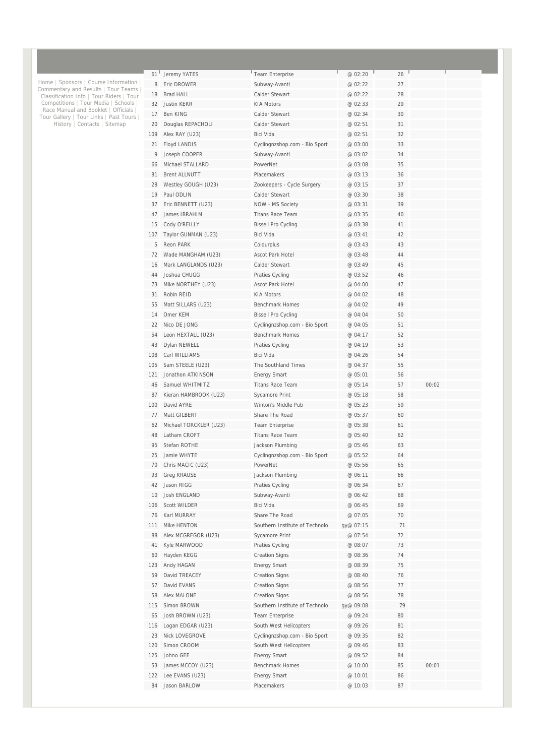| 61  | Jeremy YATES           | Team Enterprise                | @ 02:20   | 26 |       |  |
|-----|------------------------|--------------------------------|-----------|----|-------|--|
| 8   | Eric DROWER            | Subway-Avanti                  | @ 02:22   | 27 |       |  |
| 18  | <b>Brad HALL</b>       | Calder Stewart                 | @ 02:22   | 28 |       |  |
| 32  | <b>Justin KERR</b>     | <b>KIA Motors</b>              | @ 02:33   | 29 |       |  |
| 17  | Ben KING               | Calder Stewart                 | @ 02:34   | 30 |       |  |
| 20  | Douglas REPACHOLI      | Calder Stewart                 | @ 02:51   | 31 |       |  |
| 109 | Alex RAY (U23)         | <b>Bici Vida</b>               | @ 02:51   | 32 |       |  |
| 21  | Floyd LANDIS           | Cyclingnzshop.com - Bio Sport  | @ 03:00   | 33 |       |  |
| 9   | Joseph COOPER          | Subway-Avanti                  | @ 03:02   | 34 |       |  |
| 66  | Michael STALLARD       | PowerNet                       | @ 03:08   | 35 |       |  |
| 81  | <b>Brent ALLNUTT</b>   | Placemakers                    | @ 03:13   | 36 |       |  |
| 28  | Westley GOUGH (U23)    | Zookeepers - Cycle Surgery     | @ 03:15   | 37 |       |  |
| 19  | Paul ODLIN             | Calder Stewart                 | @ 03:30   | 38 |       |  |
| 37  | Eric BENNETT (U23)     | NOW - MS Society               | @ 03:31   | 39 |       |  |
| 47  | James IBRAHIM          | <b>Titans Race Team</b>        | @ 03:35   | 40 |       |  |
| 15  | Cody O'REILLY          | <b>Bissell Pro Cycling</b>     | @ 03:38   | 41 |       |  |
| 107 | Taylor GUNMAN (U23)    | Bici Vida                      | @ 03:41   | 42 |       |  |
| 5   | Reon PARK              | Colourplus                     | @ 03:43   | 43 |       |  |
| 72  | Wade MANGHAM (U23)     | <b>Ascot Park Hotel</b>        | @ 03:48   | 44 |       |  |
| 16  | Mark LANGLANDS (U23)   | Calder Stewart                 | @ 03:49   | 45 |       |  |
| 44  | Joshua CHUGG           | Praties Cycling                | @ 03:52   | 46 |       |  |
| 73  | Mike NORTHEY (U23)     | <b>Ascot Park Hotel</b>        | @ 04:00   | 47 |       |  |
| 31  | Robin REID             | <b>KIA Motors</b>              | @ 04:02   | 48 |       |  |
| 55  | Matt SILLARS (U23)     | <b>Benchmark Homes</b>         | @ 04:02   | 49 |       |  |
| 14  | Omer KEM               | <b>Bissell Pro Cycling</b>     | @ 04:04   | 50 |       |  |
| 22  | Nico DE JONG           | Cyclingnzshop.com - Bio Sport  | @ 04:05   | 51 |       |  |
| 54  | Leon HEXTALL (U23)     | <b>Benchmark Homes</b>         | @ 04:17   | 52 |       |  |
| 43  | Dylan NEWELL           | Praties Cycling                | @ 04:19   | 53 |       |  |
| 108 | Carl WILLIAMS          | Bici Vida                      | @ 04:26   | 54 |       |  |
| 105 | Sam STEELE (U23)       | The Southland Times            | @ 04:37   | 55 |       |  |
| 121 | Jonathon ATKINSON      | <b>Energy Smart</b>            | @ 05:01   | 56 |       |  |
| 46  | Samuel WHITMITZ        | <b>Titans Race Team</b>        | @ 05:14   | 57 | 00:02 |  |
| 87  | Kieran HAMBROOK (U23)  | Sycamore Print                 | @ 05:18   | 58 |       |  |
| 100 | David AYRE             | Winton's Middle Pub            | @ 05:23   | 59 |       |  |
| 77  | Matt GILBERT           | Share The Road                 | @ 05:37   | 60 |       |  |
| 62  | Michael TORCKLER (U23) | Team Enterprise                | @ 05:38   | 61 |       |  |
| 48  | Latham CROFT           | <b>Titans Race Team</b>        | @ 05:40   | 62 |       |  |
| 95  | Stefan ROTHF           | Jackson Plumbing               | @ 05:46   | 63 |       |  |
| 25  | Jamie WHYTE            | Cyclingnzshop.com - Bio Sport  | @ 05:52   | 64 |       |  |
| 70  | Chris MACIC (U23)      | PowerNet                       | @ 05:56   | 65 |       |  |
| 93  | <b>Greg KRAUSE</b>     | Jackson Plumbing               | @ 06:11   | 66 |       |  |
| 42  | Jason RIGG             | Praties Cycling                | @ 06:34   | 67 |       |  |
| 10  | Josh ENGLAND           | Subway-Avanti                  | @ 06:42   | 68 |       |  |
| 106 | Scott WILDER           | Bici Vida                      | @ 06:45   | 69 |       |  |
| 76  | Karl MURRAY            | Share The Road                 | @ 07:05   | 70 |       |  |
| 111 | Mike HENTON            | Southern Institute of Technolo | gy@ 07:15 | 71 |       |  |
| 88  | Alex MCGREGOR (U23)    | Sycamore Print                 | @ 07:54   | 72 |       |  |
| 41  | Kyle MARWOOD           | Praties Cycling                | @ 08:07   | 73 |       |  |
| 60  | Hayden KEGG            | <b>Creation Signs</b>          | @ 08:36   | 74 |       |  |
| 123 | Andy HAGAN             | <b>Energy Smart</b>            | @ 08:39   | 75 |       |  |
| 59  | David TREACEY          | <b>Creation Signs</b>          | @ 08:40   | 76 |       |  |
| 57  | David EVANS            | <b>Creation Signs</b>          | @ 08:56   | 77 |       |  |
| 58  | Alex MALONE            | <b>Creation Signs</b>          | @ 08:56   | 78 |       |  |
| 115 | Simon BROWN            | Southern Institute of Technolo | gy@ 09:08 | 79 |       |  |
| 65  | Josh BROWN (U23)       | Team Enterprise                | @ 09:24   | 80 |       |  |
| 116 | Logan EDGAR (U23)      | South West Helicopters         | @ 09:26   | 81 |       |  |
| 23  | Nick LOVEGROVE         | Cyclingnzshop.com - Bio Sport  | @ 09:35   | 82 |       |  |
| 120 | Simon CROOM            | South West Helicopters         | @ 09:46   | 83 |       |  |
| 125 | Johno GEE              | <b>Energy Smart</b>            | @ 09:52   | 84 |       |  |
| 53  | James MCCOY (U23)      | <b>Benchmark Homes</b>         | @ 10:00   | 85 | 00:01 |  |
| 122 | Lee EVANS (U23)        | <b>Energy Smart</b>            | @ 10:01   | 86 |       |  |
| 84  | Jason BARLOW           | Placemakers                    | @ 10:03   | 87 |       |  |
|     |                        |                                |           |    |       |  |

Home | Sponsors | Course Information |<br>Commentary and Results | Tour Teams |<br>Classification Info | Tour Riders | Tour<br>Competitions | Tour Media | Schools |<br>Race Manual and Booklet | Officials |<br>Tour Gallery | Tour Links |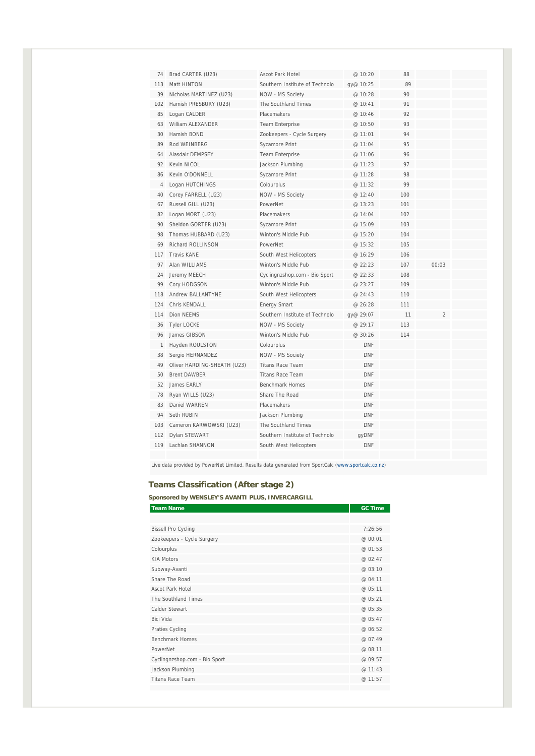| 74             | Brad CARTER (U23)           | Ascot Park Hotel               | @ 10:20    | 88  |                |  |
|----------------|-----------------------------|--------------------------------|------------|-----|----------------|--|
| 113            | Matt HINTON                 | Southern Institute of Technolo | gy@ 10:25  | 89  |                |  |
| 39             | Nicholas MARTINEZ (U23)     | NOW - MS Society               | @ 10:28    | 90  |                |  |
| 102            | Hamish PRESBURY (U23)       | The Southland Times            | @ 10:41    | 91  |                |  |
| 85             | Logan CALDER                | Placemakers                    | @ 10:46    | 92  |                |  |
| 63             | William ALEXANDER           | <b>Team Enterprise</b>         | @10:50     | 93  |                |  |
| 30             | Hamish BOND                 | Zookeepers - Cycle Surgery     | @ 11:01    | 94  |                |  |
| 89             | Rod WEINBERG                | Sycamore Print                 | @ 11:04    | 95  |                |  |
| 64             | Alasdair DEMPSEY            | <b>Team Enterprise</b>         | @ 11:06    | 96  |                |  |
| 92             | Kevin NICOL                 | Jackson Plumbing               | @ 11:23    | 97  |                |  |
| 86             | Kevin O'DONNELL             | <b>Sycamore Print</b>          | @ 11:28    | 98  |                |  |
| $\overline{4}$ | Logan HUTCHINGS             | Colourplus                     | @ 11:32    | 99  |                |  |
| 40             | Corey FARRELL (U23)         | NOW - MS Society               | @ 12:40    | 100 |                |  |
| 67             | Russell GILL (U23)          | PowerNet                       | @ 13:23    | 101 |                |  |
| 82             | Logan MORT (U23)            | Placemakers                    | @ 14:04    | 102 |                |  |
| 90             | Sheldon GORTER (U23)        | Sycamore Print                 | @ 15:09    | 103 |                |  |
| 98             | Thomas HUBBARD (U23)        | Winton's Middle Pub            | @15:20     | 104 |                |  |
| 69             | <b>Richard ROLLINSON</b>    | PowerNet                       | @ 15:32    | 105 |                |  |
| 117            | <b>Travis KANE</b>          | South West Helicopters         | @ 16:29    | 106 |                |  |
| 97             | Alan WILLIAMS               | Winton's Middle Pub            | @ 22:23    | 107 | 00:03          |  |
| 24             | Jeremy MEECH                | Cyclingnzshop.com - Bio Sport  | @ 22:33    | 108 |                |  |
| 99             | Cory HODGSON                | Winton's Middle Pub            | @23:27     | 109 |                |  |
| 118            | <b>Andrew BALLANTYNE</b>    | South West Helicopters         | @ 24:43    | 110 |                |  |
| 124            | Chris KENDALL               | <b>Energy Smart</b>            | @ 26:28    | 111 |                |  |
| 114            | <b>Dion NEEMS</b>           | Southern Institute of Technolo | gy@ 29:07  | 11  | $\overline{2}$ |  |
| 36             | <b>Tyler LOCKE</b>          | NOW - MS Society               | @ 29:17    | 113 |                |  |
| 96             | James GIBSON                | Winton's Middle Pub            | @ 30:26    | 114 |                |  |
| $\mathbf{1}$   | Hayden ROULSTON             | Colourplus                     | <b>DNF</b> |     |                |  |
| 38             | Sergio HERNANDEZ            | NOW - MS Society               | <b>DNF</b> |     |                |  |
| 49             | Oliver HARDING-SHEATH (U23) | <b>Titans Race Team</b>        | <b>DNF</b> |     |                |  |
| 50             | <b>Brent DAWBER</b>         | <b>Titans Race Team</b>        | <b>DNF</b> |     |                |  |
| 52             | James FARLY                 | Benchmark Homes                | <b>DNF</b> |     |                |  |
| 78             | Ryan WILLS (U23)            | Share The Road                 | <b>DNF</b> |     |                |  |
| 83             | Daniel WARREN               | Placemakers                    | <b>DNF</b> |     |                |  |
| 94             | Seth RUBIN                  | Jackson Plumbing               | <b>DNF</b> |     |                |  |
| 103            | Cameron KARWOWSKI (U23)     | The Southland Times            | <b>DNF</b> |     |                |  |
| 112            | Dylan STEWART               | Southern Institute of Technolo | qyDNF      |     |                |  |
| 119            | Lachlan SHANNON             | South West Helicopters         | <b>DNF</b> |     |                |  |
|                |                             |                                |            |     |                |  |

Live data provided by PowerNet Limited. Results data generated from SportCalc (www.sportcalc.co.nz)

### **Teams Classification (After stage 2)**

**Sponsored by WENSLEY'S AVANTI PLUS, INVERCARGILL** 

| <b>Team Name</b>              | <b>GC Time</b> |
|-------------------------------|----------------|
|                               |                |
| <b>Bissell Pro Cycling</b>    | 7:26:56        |
| Zookeepers - Cycle Surgery    | @ 00:01        |
| Colourplus                    | @ 01:53        |
| <b>KIA Motors</b>             | @ 02:47        |
| Subway-Avanti                 | @ 03:10        |
| Share The Road                | @ 04:11        |
| <b>Ascot Park Hotel</b>       | @ 05:11        |
| The Southland Times           | @ 05:21        |
| Calder Stewart                | @ 05:35        |
| Bici Vida                     | @ 05:47        |
| Praties Cycling               | @ 06:52        |
| <b>Benchmark Homes</b>        | @ 07:49        |
| PowerNet                      | @ 08:11        |
| Cyclingnzshop.com - Bio Sport | @ 09:57        |
| Jackson Plumbing              | @ 11:43        |
| <b>Titans Race Team</b>       | @ 11:57        |
|                               |                |